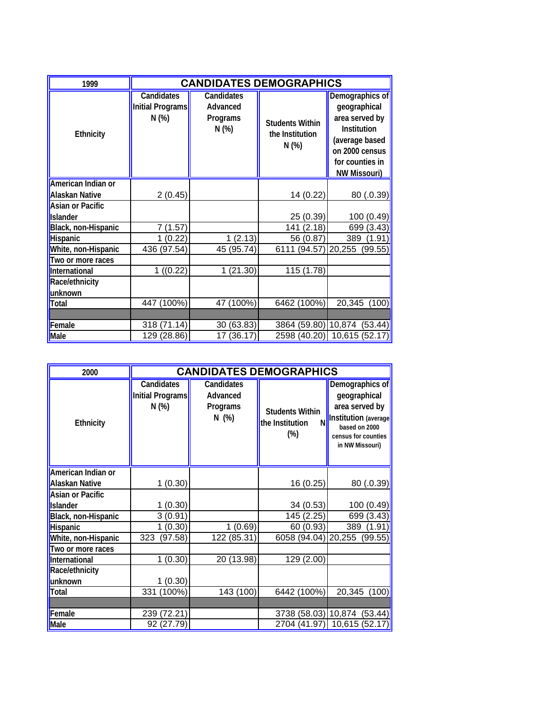| 1999                                        | <b>CANDIDATES DEMOGRAPHICS</b>                 |                                                    |                                                   |                                                                                                                                                |
|---------------------------------------------|------------------------------------------------|----------------------------------------------------|---------------------------------------------------|------------------------------------------------------------------------------------------------------------------------------------------------|
| Ethnicity                                   | <b>Candidates</b><br>Initial Programs<br>N (%) | <b>Candidates</b><br>Advanced<br>Programs<br>N (%) | <b>Students Within</b><br>the Institution<br>N(%) | Demographics of<br>geographical<br>area served by<br>Institution<br>(average based<br>on 2000 census<br>for counties in<br><b>NW Missouri)</b> |
| American Indian or<br><b>Alaskan Native</b> | 2(0.45)                                        |                                                    | 14 (0.22)                                         | 80 (.0.39)                                                                                                                                     |
| <b>Asian or Pacific</b><br><b>Islander</b>  |                                                |                                                    | 25 (0.39)                                         | 100 (0.49)                                                                                                                                     |
| Black, non-Hispanic                         | (1.57)<br>7                                    |                                                    | 141 (2.18)                                        | 699 (3.43)                                                                                                                                     |
| Hispanic                                    | (0.22)<br>1                                    | 1(2.13)                                            | 56 (0.87)                                         | 389<br>(1.91)                                                                                                                                  |
| White, non-Hispanic                         | 436 (97.54)                                    | 45 (95.74)                                         | 6111 (94.57                                       | 20,255<br>(99.55)                                                                                                                              |
| Two or more races                           |                                                |                                                    |                                                   |                                                                                                                                                |
| International                               | 1( (0.22)                                      | 1(21.30)                                           | 115 (1.78)                                        |                                                                                                                                                |
| Race/ethnicity<br>unknown                   |                                                |                                                    |                                                   |                                                                                                                                                |
| Total                                       | 447 (100%)                                     | 47 (100%)                                          | 6462 (100%)                                       | 20,345<br>(100)                                                                                                                                |
|                                             |                                                |                                                    |                                                   |                                                                                                                                                |
| Female                                      | 318 (71.14)                                    | 30 (63.83)                                         | 3864 (59.80)                                      | 10,874<br>(53.44)                                                                                                                              |
| Male                                        | 129 (28.86)                                    | 17(36.17)                                          |                                                   | 2598 (40.20) 10,615 (52.17)                                                                                                                    |

| 2000                    | <b>CANDIDATES DEMOGRAPHICS</b>                 |                                                   |                                                          |                                                                                                                                      |
|-------------------------|------------------------------------------------|---------------------------------------------------|----------------------------------------------------------|--------------------------------------------------------------------------------------------------------------------------------------|
| Ethnicity               | <b>Candidates</b><br>Initial Programs<br>N (%) | <b>Candidates</b><br>Advanced<br>Programs<br>N(%) | <b>Students Within</b><br>the Institution<br>N<br>$(\%)$ | Demographics of<br>geographical<br>area served by<br>Institution (average<br>based on 2000<br>census for counties<br>in NW Missouri) |
| American Indian or      |                                                |                                                   |                                                          |                                                                                                                                      |
| <b>Alaskan Native</b>   | 1(0.30)                                        |                                                   | 16 (0.25)                                                | 80(.0.39)                                                                                                                            |
| <b>Asian or Pacific</b> |                                                |                                                   |                                                          |                                                                                                                                      |
| <b>Islander</b>         | 1(0.30)                                        |                                                   | 34(0.53)                                                 | 100(0.49)                                                                                                                            |
| Black, non-Hispanic     | 3(0.91)                                        |                                                   | 145 (2.25)                                               | 699 (3.43)                                                                                                                           |
| Hispanic                | 1(0.30)                                        | 1(0.69)                                           | 60 (0.93)                                                | 389<br>(1.91)                                                                                                                        |
| White, non-Hispanic     | 323<br>(97.58)                                 | 122 (85.31)                                       | 6058 (94.04) 20,255                                      | (99.55)                                                                                                                              |
| Two or more races       |                                                |                                                   |                                                          |                                                                                                                                      |
| International           | 1(0.30)                                        | 20 (13.98)                                        | 129 (2.00)                                               |                                                                                                                                      |
| Race/ethnicity          |                                                |                                                   |                                                          |                                                                                                                                      |
| unknown                 | 1(0.30)                                        |                                                   |                                                          |                                                                                                                                      |
| Total                   | 331 (100%)                                     | 143 (100)                                         | 6442 (100%)                                              | 20,345<br>(100)                                                                                                                      |
|                         |                                                |                                                   |                                                          |                                                                                                                                      |
| Female                  | 239 (72.21)                                    |                                                   | 3738 (58.03) 10,874                                      | (53.44)                                                                                                                              |
| Male                    | 92 (27.79)                                     |                                                   | 2704 (41.97)                                             | 10,615 (52.17)                                                                                                                       |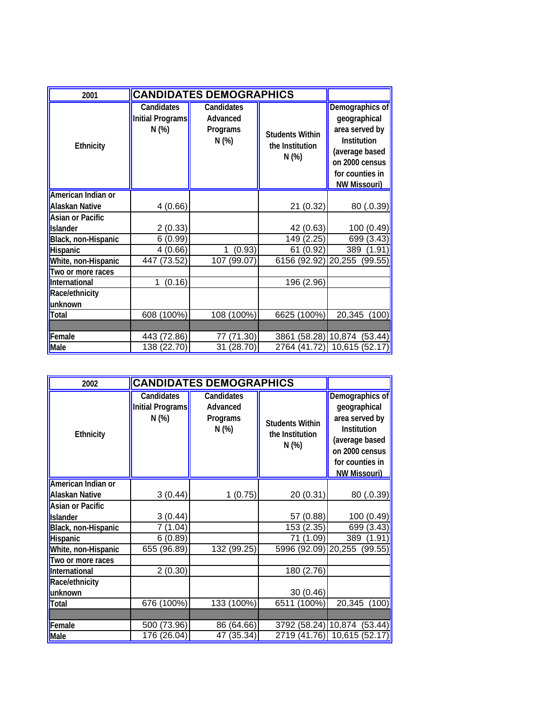| 2001                    | <b>CANDIDATES DEMOGRAPHICS</b>                 |                                            |                                                   |                                                                                                                                                |
|-------------------------|------------------------------------------------|--------------------------------------------|---------------------------------------------------|------------------------------------------------------------------------------------------------------------------------------------------------|
| <b>Ethnicity</b>        | <b>Candidates</b><br>Initial Programs<br>N (%) | Candidates<br>Advanced<br>Programs<br>N(%) | <b>Students Within</b><br>the Institution<br>N(%) | Demographics of<br>geographical<br>area served by<br>Institution<br>(average based<br>on 2000 census<br>for counties in<br><b>NW Missouri)</b> |
| American Indian or      |                                                |                                            |                                                   |                                                                                                                                                |
| <b>Alaskan Native</b>   | 4(0.66)                                        |                                            | 21 (0.32)                                         | 80 (.0.39)                                                                                                                                     |
| <b>Asian or Pacific</b> |                                                |                                            |                                                   |                                                                                                                                                |
| <b>Islander</b>         | 2(0.33)                                        |                                            | 42 (0.63)                                         | 100 (0.49)                                                                                                                                     |
| Black, non-Hispanic     | 6(0.99)                                        |                                            | 149 (2.25)                                        | 699 (3.43)                                                                                                                                     |
| Hispanic                | 4(0.66)                                        | (0.93)<br>1                                | 61 (0.92)                                         | 389<br>(1.91)                                                                                                                                  |
| White, non-Hispanic     | (73.52)<br>447                                 | 107 (99.07)                                | 6156 (92.92) 20,255                               | (99.55)                                                                                                                                        |
| Two or more races       |                                                |                                            |                                                   |                                                                                                                                                |
| International           | (0.16)<br>1                                    |                                            | 196 (2.96)                                        |                                                                                                                                                |
| Race/ethnicity          |                                                |                                            |                                                   |                                                                                                                                                |
| unknown                 |                                                |                                            |                                                   |                                                                                                                                                |
| Total                   | 608 (100%)                                     | 108 (100%)                                 | 6625 (100%)                                       | 20,345<br>(100)                                                                                                                                |
|                         |                                                |                                            |                                                   |                                                                                                                                                |
| Female                  | 443 (72.86)                                    | (71.30)<br>77                              | (58.28)<br>3861                                   | 10,874<br>(53.44)                                                                                                                              |
| Male                    | 138 (22.70)                                    | 31 (28.70)                                 | 2764 (41.72)                                      | 10,615 (52.17)                                                                                                                                 |

| 2002                    | <b>CANDIDATES DEMOGRAPHICS</b>                |                                                   |                                                    |                                                                                                                                                |
|-------------------------|-----------------------------------------------|---------------------------------------------------|----------------------------------------------------|------------------------------------------------------------------------------------------------------------------------------------------------|
| Ethnicity               | <b>Candidates</b><br>Initial Programs<br>N(%) | <b>Candidates</b><br>Advanced<br>Programs<br>N(%) | <b>Students Within</b><br>the Institution<br>N (%) | Demographics of<br>geographical<br>area served by<br>Institution<br>(average based<br>on 2000 census<br>for counties in<br><b>NW Missouri)</b> |
| American Indian or      |                                               |                                                   |                                                    |                                                                                                                                                |
| <b>Alaskan Native</b>   | 3(0.44)                                       | 1(0.75)                                           | 20 (0.31)                                          | 80 (.0.39)                                                                                                                                     |
| <b>Asian or Pacific</b> |                                               |                                                   |                                                    |                                                                                                                                                |
| <b>Islander</b>         | 3(0.44)                                       |                                                   | 57 (0.88)                                          | 100 (0.49)                                                                                                                                     |
| Black, non-Hispanic     | 7 (1.04)                                      |                                                   | 153 (2.35)                                         | 699 (3.43)                                                                                                                                     |
| Hispanic                | 6(0.89)                                       |                                                   | 71 (1.09)                                          | 389 (1.91)                                                                                                                                     |
| White, non-Hispanic     | 655 (96.89)                                   | 132 (99.25)                                       | 5996 (92.09)                                       | 20,255 (99.55)                                                                                                                                 |
| Two or more races       |                                               |                                                   |                                                    |                                                                                                                                                |
| International           | 2(0.30)                                       |                                                   | 180 (2.76)                                         |                                                                                                                                                |
| Race/ethnicity          |                                               |                                                   |                                                    |                                                                                                                                                |
| unknown                 |                                               |                                                   | 30 (0.46)                                          |                                                                                                                                                |
| <b>Total</b>            | 676 (100%)                                    | 133 (100%)                                        | 6511 (100%)                                        | 20,345 (100)                                                                                                                                   |
|                         |                                               |                                                   |                                                    |                                                                                                                                                |
| Female                  | 500 (73.96)                                   | 86 (64.66)                                        | 3792 (58.24)                                       | 10,874<br>(53.44)                                                                                                                              |
| Male                    | 176 (26.04)                                   | 47 (35.34)                                        | 2719 (41.76)                                       | 10,615 (52.17)                                                                                                                                 |